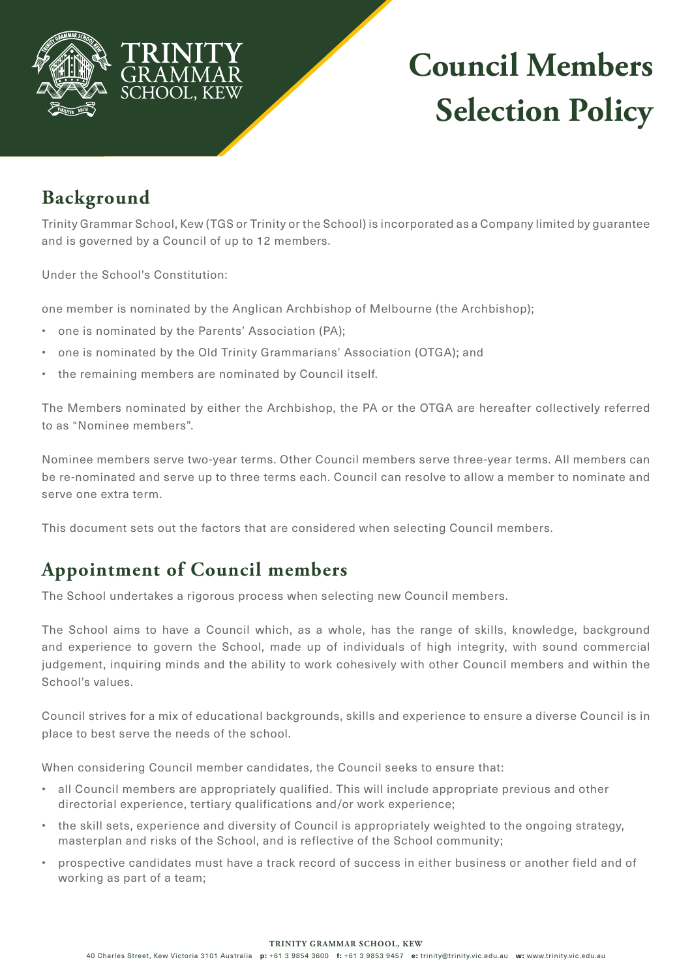

# **Council Members Selection Policy**

### **Background**

Trinity Grammar School, Kew (TGS or Trinity or the School) is incorporated as a Company limited by guarantee and is governed by a Council of up to 12 members.

Under the School's Constitution:

one member is nominated by the Anglican Archbishop of Melbourne (the Archbishop);

- one is nominated by the Parents' Association (PA);
- one is nominated by the Old Trinity Grammarians' Association (OTGA); and
- the remaining members are nominated by Council itself.

The Members nominated by either the Archbishop, the PA or the OTGA are hereafter collectively referred to as "Nominee members".

Nominee members serve two-year terms. Other Council members serve three-year terms. All members can be re-nominated and serve up to three terms each. Council can resolve to allow a member to nominate and serve one extra term.

This document sets out the factors that are considered when selecting Council members.

## **Appointment of Council members**

The School undertakes a rigorous process when selecting new Council members.

The School aims to have a Council which, as a whole, has the range of skills, knowledge, background and experience to govern the School, made up of individuals of high integrity, with sound commercial judgement, inquiring minds and the ability to work cohesively with other Council members and within the School's values.

Council strives for a mix of educational backgrounds, skills and experience to ensure a diverse Council is in place to best serve the needs of the school.

When considering Council member candidates, the Council seeks to ensure that:

- all Council members are appropriately qualified. This will include appropriate previous and other directorial experience, tertiary qualifications and/or work experience;
- the skill sets, experience and diversity of Council is appropriately weighted to the ongoing strategy, masterplan and risks of the School, and is reflective of the School community;
- prospective candidates must have a track record of success in either business or another field and of working as part of a team;